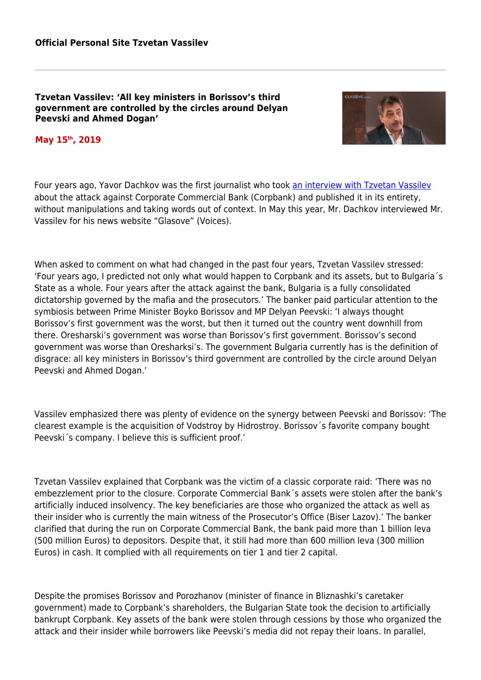**Tzvetan Vassilev: 'All key ministers in Borissov's third government are controlled by the circles around Delyan Peevski and Ahmed Dogan'**



## **May 15th, 2019**

Four years ago, Yavor Dachkov was the first journalist who took [an interview with Tzvetan Vassilev](http://glasove.com/categories/skandalyt/news/cvetan-vasilev-pred-glasove-poiskaha-mi-da-prehvyrlq-bezvyzmezdno-aktivi-sled-kato-se-opylchih-predizvikaha-krizata-v-ktb?page=3) about the attack against Corporate Commercial Bank (Corpbank) and published it in its entirety, without manipulations and taking words out of context. In May this year, Mr. Dachkov interviewed Mr. Vassilev for his news website "Glasove" (Voices).

When asked to comment on what had changed in the past four years, Tzvetan Vassilev stressed: 'Four years ago, I predicted not only what would happen to Corpbank and its assets, but to Bulgaria´s State as a whole. Four years after the attack against the bank, Bulgaria is a fully consolidated dictatorship governed by the mafia and the prosecutors.' The banker paid particular attention to the symbiosis between Prime Minister Boyko Borissov and MP Delyan Peevski: 'I always thought Borissov's first government was the worst, but then it turned out the country went downhill from there. Oresharski's government was worse than Borissov's first government. Borissov's second government was worse than Oresharksi's. The government Bulgaria currently has is the definition of disgrace: all key ministers in Borissov's third government are controlled by the circle around Delyan Peevski and Ahmed Dogan.'

Vassilev emphasized there was plenty of evidence on the synergy between Peevski and Borissov: 'The clearest example is the acquisition of Vodstroy by Hidrostroy. Borissov´s favorite company bought Peevski´s company. I believe this is sufficient proof.'

Tzvetan Vassilev explained that Corpbank was the victim of a classic corporate raid: 'There was no embezzlement prior to the closure. Corporate Commercial Bank´s assets were stolen after the bank's artificially induced insolvency. The key beneficiaries are those who organized the attack as well as their insider who is currently the main witness of the Prosecutor's Office (Biser Lazov).' The banker clarified that during the run on Corporate Commercial Bank, the bank paid more than 1 billion leva (500 million Euros) to depositors. Despite that, it still had more than 600 million leva (300 million Euros) in cash. It complied with all requirements on tier 1 and tier 2 capital.

Despite the promises Borissov and Porozhanov (minister of finance in Bliznashki's caretaker government) made to Corpbank's shareholders, the Bulgarian State took the decision to artificially bankrupt Corpbank. Key assets of the bank were stolen through cessions by those who organized the attack and their insider while borrowers like Peevski's media did not repay their loans. In parallel,